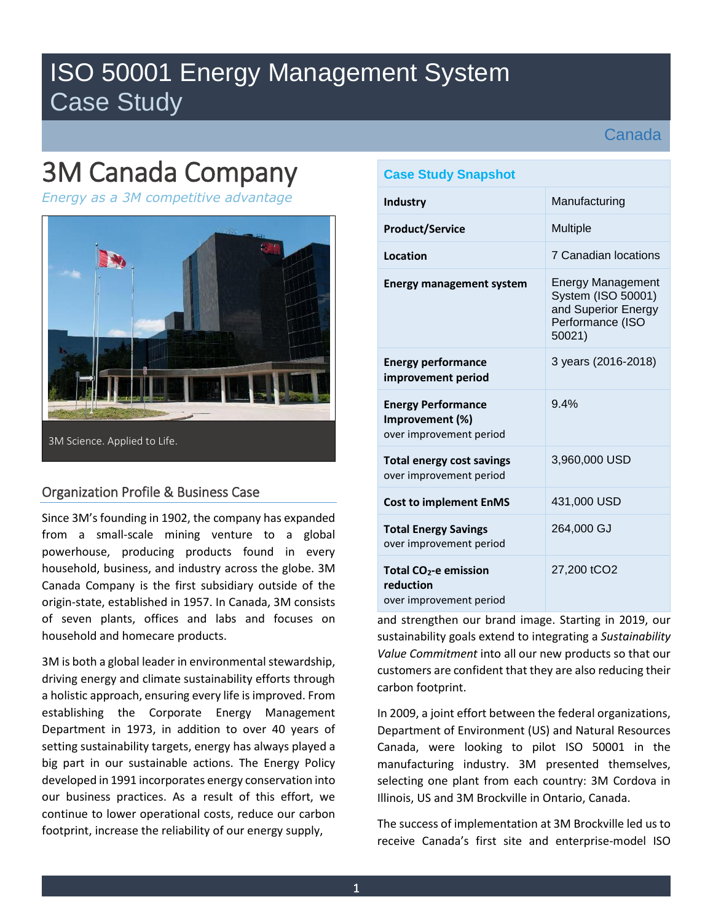## ISO 50001 Energy Management System Case Study

Canada

# 3M Canada Company

*Energy as a 3M competitive advantage* 



## Organization Profile & Business Case

Since 3M's founding in 1902, the company has expanded from a small-scale mining venture to a global powerhouse, producing products found in every household, business, and industry across the globe. 3M Canada Company is the first subsidiary outside of the origin-state, established in 1957. In Canada, 3M consists of seven plants, offices and labs and focuses on household and homecare products.

3M is both a global leader in environmental stewardship, driving energy and climate sustainability efforts through a holistic approach, ensuring every life is improved. From establishing the Corporate Energy Management Department in 1973, in addition to over 40 years of setting sustainability targets, energy has always played a big part in our sustainable actions. The Energy Policy developed in 1991 incorporates energy conservation into our business practices. As a result of this effort, we continue to lower operational costs, reduce our carbon footprint, increase the reliability of our energy supply,

## **Case Study Snapshot**

| Industry                                                                  | Manufacturing                                                                                       |
|---------------------------------------------------------------------------|-----------------------------------------------------------------------------------------------------|
| <b>Product/Service</b>                                                    | <b>Multiple</b>                                                                                     |
| Location                                                                  | 7 Canadian locations                                                                                |
| <b>Energy management system</b>                                           | <b>Energy Management</b><br>System (ISO 50001)<br>and Superior Energy<br>Performance (ISO<br>50021) |
| <b>Energy performance</b><br>improvement period                           | 3 years (2016-2018)                                                                                 |
| <b>Energy Performance</b><br>Improvement (%)<br>over improvement period   | 94%                                                                                                 |
| <b>Total energy cost savings</b><br>over improvement period               | 3,960,000 USD                                                                                       |
| <b>Cost to implement EnMS</b>                                             | 431,000 USD                                                                                         |
| <b>Total Energy Savings</b><br>over improvement period                    | 264,000 GJ                                                                                          |
| Total CO <sub>2</sub> -e emission<br>reduction<br>over improvement period | 27,200 tCO2                                                                                         |

and strengthen our brand image. Starting in 2019, our sustainability goals extend to integrating a *Sustainability Value Commitment* into all our new products so that our customers are confident that they are also reducing their carbon footprint.

In 2009, a joint effort between the federal organizations, Department of Environment (US) and Natural Resources Canada, were looking to pilot ISO 50001 in the manufacturing industry. 3M presented themselves, selecting one plant from each country: 3M Cordova in Illinois, US and 3M Brockville in Ontario, Canada.

The success of implementation at 3M Brockville led us to receive Canada's first site and enterprise-model ISO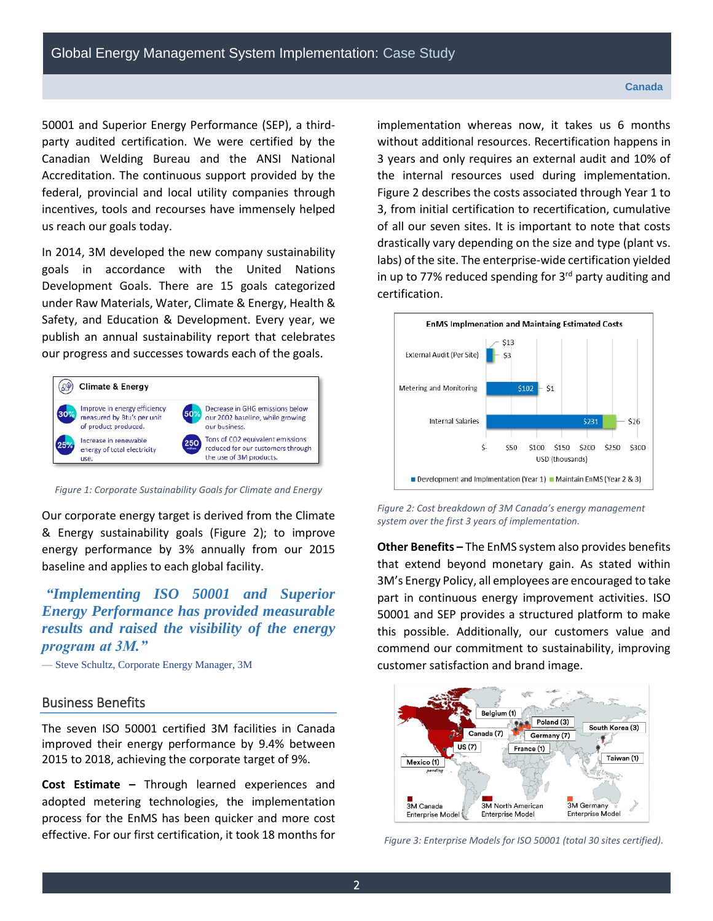50001 and Superior Energy Performance (SEP), a thirdparty audited certification. We were certified by the Canadian Welding Bureau and the ANSI National Accreditation. The continuous support provided by the federal, provincial and local utility companies through incentives, tools and recourses have immensely helped us reach our goals today.

In 2014, 3M developed the new company sustainability goals in accordance with the United Nations Development Goals. There are 15 goals categorized under Raw Materials, Water, Climate & Energy, Health & Safety, and Education & Development. Every year, we publish an annual sustainability report that celebrates our progress and successes towards each of the goals.



*Figure 1: Corporate Sustainability Goals for Climate and Energy*

Our corporate energy target is derived from the Climate & Energy sustainability goals (Figure 2); to improve energy performance by 3% annually from our 2015 baseline and applies to each global facility.

*"Implementing ISO 50001 and Superior Energy Performance has provided measurable results and raised the visibility of the energy program at 3M."*

— Steve Schultz, Corporate Energy Manager, 3M

#### Business Benefits

The seven ISO 50001 certified 3M facilities in Canada improved their energy performance by 9.4% between 2015 to 2018, achieving the corporate target of 9%.

**Cost Estimate –** Through learned experiences and adopted metering technologies, the implementation process for the EnMS has been quicker and more cost effective. For our first certification, it took 18 months for implementation whereas now, it takes us 6 months without additional resources. Recertification happens in 3 years and only requires an external audit and 10% of the internal resources used during implementation. Figure 2 describes the costs associated through Year 1 to 3, from initial certification to recertification, cumulative of all our seven sites. It is important to note that costs drastically vary depending on the size and type (plant vs. labs) of the site. The enterprise-wide certification yielded in up to 77% reduced spending for 3<sup>rd</sup> party auditing and certification.



*Figure 2: Cost breakdown of 3M Canada's energy management system over the first 3 years of implementation.* 

**Other Benefits –** The EnMS system also provides benefits that extend beyond monetary gain. As stated within 3M's Energy Policy, all employees are encouraged to take part in continuous energy improvement activities. ISO 50001 and SEP provides a structured platform to make this possible. Additionally, our customers value and commend our commitment to sustainability, improving customer satisfaction and brand image.



*Figure 3: Enterprise Models for ISO 50001 (total 30 sites certified).*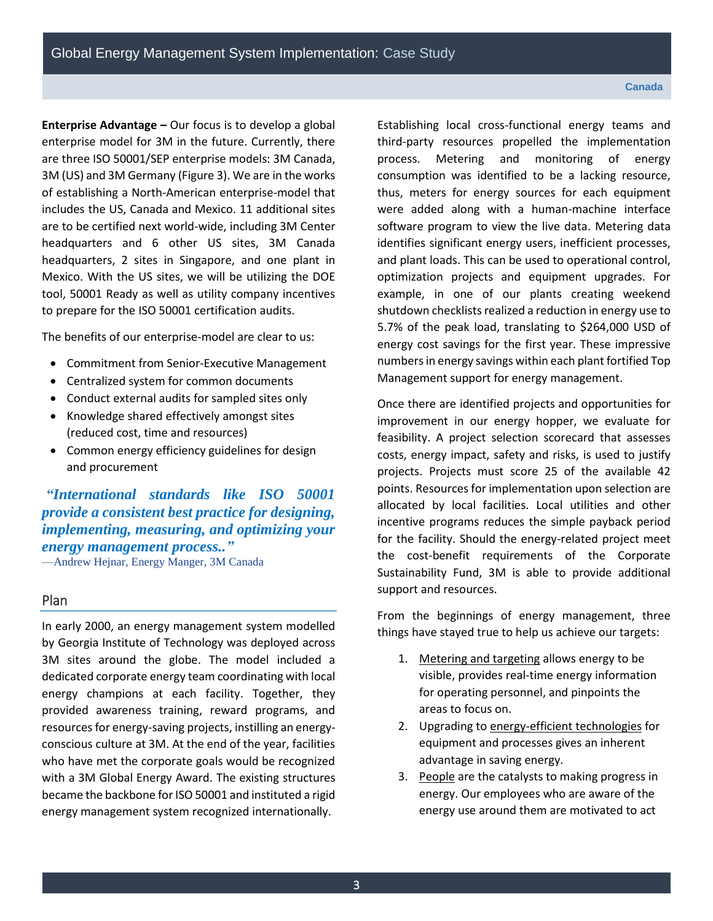#### **Canada**

**Enterprise Advantage –** Our focus is to develop a global enterprise model for 3M in the future. Currently, there are three ISO 50001/SEP enterprise models: 3M Canada, 3M (US) and 3M Germany (Figure 3). We are in the works of establishing a North-American enterprise-model that includes the US, Canada and Mexico. 11 additional sites are to be certified next world-wide, including 3M Center headquarters and 6 other US sites, 3M Canada headquarters, 2 sites in Singapore, and one plant in Mexico. With the US sites, we will be utilizing the DOE tool, 50001 Ready as well as utility company incentives to prepare for the ISO 50001 certification audits.

The benefits of our enterprise-model are clear to us:

- Commitment from Senior-Executive Management
- Centralized system for common documents
- Conduct external audits for sampled sites only
- Knowledge shared effectively amongst sites (reduced cost, time and resources)
- Common energy efficiency guidelines for design and procurement

*"[International standards like ISO 50001](https://www.energy.gov/eere/amo/iso-50001-frequently-asked-questions#What_is_the_value_of_ISO_50001?utm_source=ScienceCentre&utm_medium=Article&utm_campaign=_EN_10_2018_ISSO) provide a consistent best practice for designing, implementing, measuring, and optimizing your energy management process.."* —Andrew Hejnar, Energy Manger, 3M Canada

### Plan

In early 2000, an energy management system modelled by Georgia Institute of Technology was deployed across 3M sites around the globe. The model included a dedicated corporate energy team coordinating with local energy champions at each facility. Together, they provided awareness training, reward programs, and resources for energy-saving projects, instilling an energyconscious culture at 3M. At the end of the year, facilities who have met the corporate goals would be recognized with a 3M Global Energy Award. The existing structures became the backbone for ISO 50001 and instituted a rigid energy management system recognized internationally.

Establishing local cross-functional energy teams and third-party resources propelled the implementation process. Metering and monitoring of energy consumption was identified to be a lacking resource, thus, meters for energy sources for each equipment were added along with a human-machine interface software program to view the live data. Metering data identifies significant energy users, inefficient processes, and plant loads. This can be used to operational control, optimization projects and equipment upgrades. For example, in one of our plants creating weekend shutdown checklists realized a reduction in energy use to 5.7% of the peak load, translating to \$264,000 USD of energy cost savings for the first year. These impressive numbers in energy savings within each plant fortified Top Management support for energy management.

Once there are identified projects and opportunities for improvement in our energy hopper, we evaluate for feasibility. A project selection scorecard that assesses costs, energy impact, safety and risks, is used to justify projects. Projects must score 25 of the available 42 points. Resources for implementation upon selection are allocated by local facilities. Local utilities and other incentive programs reduces the simple payback period for the facility. Should the energy-related project meet the cost-benefit requirements of the Corporate Sustainability Fund, 3M is able to provide additional support and resources.

From the beginnings of energy management, three things have stayed true to help us achieve our targets:

- 1. Metering and targeting allows energy to be visible, provides real-time energy information for operating personnel, and pinpoints the areas to focus on.
- 2. Upgrading to energy-efficient technologies for equipment and processes gives an inherent advantage in saving energy.
- 3. People are the catalysts to making progress in energy. Our employees who are aware of the energy use around them are motivated to act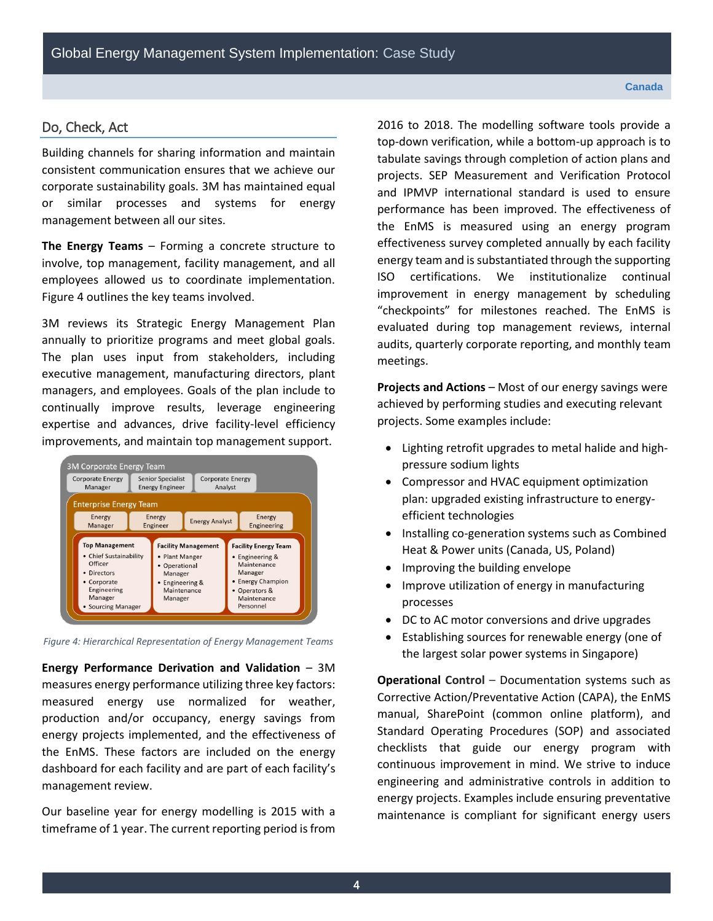#### Do, Check, Act

Building channels for sharing information and maintain consistent communication ensures that we achieve our corporate sustainability goals. 3M has maintained equal or similar processes and systems for energy management between all our sites.

**The Energy Teams** – Forming a concrete structure to involve, top management, facility management, and all employees allowed us to coordinate implementation. Figure 4 outlines the key teams involved.

3M reviews its Strategic Energy Management Plan annually to prioritize programs and meet global goals. The plan uses input from stakeholders, including executive management, manufacturing directors, plant managers, and employees. Goals of the plan include to continually improve results, leverage engineering expertise and advances, drive facility-level efficiency improvements, and maintain top management support.



*Figure 4: Hierarchical Representation of Energy Management Teams* 

**Energy Performance Derivation and Validation** – 3M measures energy performance utilizing three key factors: measured energy use normalized for weather, production and/or occupancy, energy savings from energy projects implemented, and the effectiveness of the EnMS. These factors are included on the energy dashboard for each facility and are part of each facility's management review.

Our baseline year for energy modelling is 2015 with a timeframe of 1 year. The current reporting period is from 2016 to 2018. The modelling software tools provide a top-down verification, while a bottom-up approach is to tabulate savings through completion of action plans and projects. SEP Measurement and Verification Protocol and IPMVP international standard is used to ensure performance has been improved. The effectiveness of the EnMS is measured using an energy program effectiveness survey completed annually by each facility energy team and is substantiated through the supporting ISO certifications. We institutionalize continual improvement in energy management by scheduling "checkpoints" for milestones reached. The EnMS is evaluated during top management reviews, internal audits, quarterly corporate reporting, and monthly team meetings.

**Projects and Actions** – Most of our energy savings were achieved by performing studies and executing relevant projects. Some examples include:

- Lighting retrofit upgrades to metal halide and highpressure sodium lights
- Compressor and HVAC equipment optimization plan: upgraded existing infrastructure to energyefficient technologies
- Installing co-generation systems such as Combined Heat & Power units (Canada, US, Poland)
- Improving the building envelope
- Improve utilization of energy in manufacturing processes
- DC to AC motor conversions and drive upgrades
- Establishing sources for renewable energy (one of the largest solar power systems in Singapore)

**Operational Control – Documentation systems such as** Corrective Action/Preventative Action (CAPA), the EnMS manual, SharePoint (common online platform), and Standard Operating Procedures (SOP) and associated checklists that guide our energy program with continuous improvement in mind. We strive to induce engineering and administrative controls in addition to energy projects. Examples include ensuring preventative maintenance is compliant for significant energy users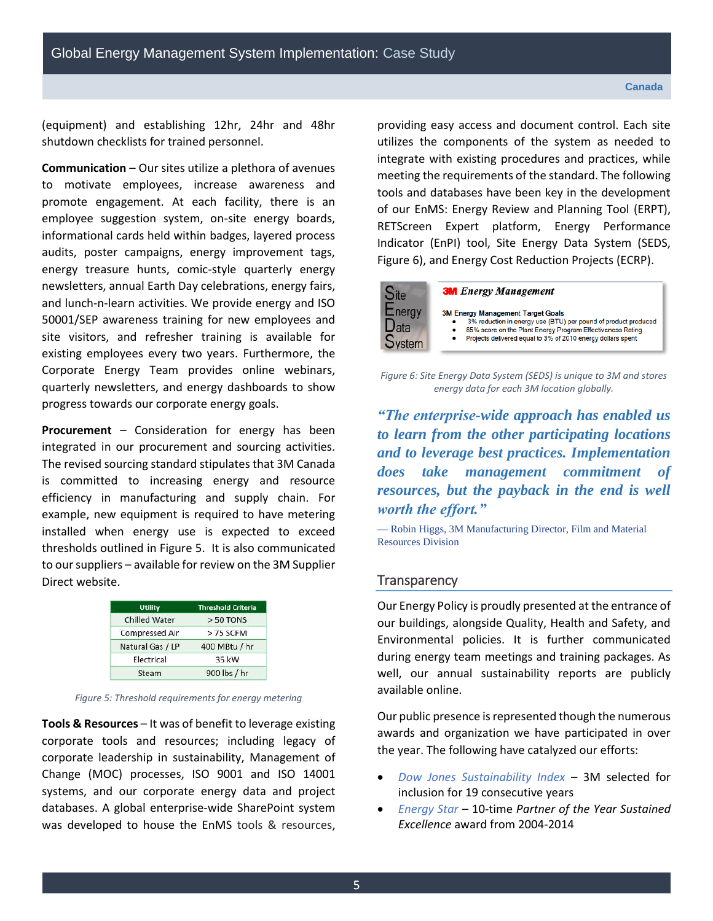(equipment) and establishing 12hr, 24hr and 48hr shutdown checklists for trained personnel.

**Communication** – Our sites utilize a plethora of avenues to motivate employees, increase awareness and promote engagement. At each facility, there is an employee suggestion system, on-site energy boards, informational cards held within badges, layered process audits, poster campaigns, energy improvement tags, energy treasure hunts, comic-style quarterly energy newsletters, annual Earth Day celebrations, energy fairs, and lunch-n-learn activities. We provide energy and ISO 50001/SEP awareness training for new employees and site visitors, and refresher training is available for existing employees every two years. Furthermore, the Corporate Energy Team provides online webinars, quarterly newsletters, and energy dashboards to show progress towards our corporate energy goals.

**Procurement** – Consideration for energy has been integrated in our procurement and sourcing activities. The revised sourcing standard stipulates that 3M Canada is committed to increasing energy and resource efficiency in manufacturing and supply chain. For example, new equipment is required to have metering installed when energy use is expected to exceed thresholds outlined in Figure 5. It is also communicated to our suppliers – available for review on the 3M Supplier Direct website.

| <b>Utility</b>       | <b>Threshold Criteria</b> |
|----------------------|---------------------------|
| <b>Chilled Water</b> | > 50 TONS                 |
| Compressed Air       | > 75 SCFM                 |
| Natural Gas / LP     | 400 MBtu / hr             |
| Electrical           | 35 kW                     |
| Steam                | 900 lbs / hr              |

*Figure 5: Threshold requirements for energy metering* 

**Tools & Resources** – It was of benefit to leverage existing corporate tools and resources; including legacy of corporate leadership in sustainability, Management of Change (MOC) processes, ISO 9001 and ISO 14001 systems, and our corporate energy data and project databases. A global enterprise-wide SharePoint system was developed to house the EnMS tools & resources,

providing easy access and document control. Each site utilizes the components of the system as needed to integrate with existing procedures and practices, while meeting the requirements of the standard. The following tools and databases have been key in the development of our EnMS: Energy Review and Planning Tool (ERPT), RETScreen Expert platform, Energy Performance Indicator (EnPI) tool, Site Energy Data System (SEDS, Figure 6), and Energy Cost Reduction Projects (ECRP).



#### **3M** Energy Management

- 3M Energy Management Target Goals
	- 3% reduction in energy use (BTU) per pound of product produced
	- 3% reduction in energy use (BTO) per pound or product product<br>85% score on the Plant Energy Program Effectiveness Rating<br>Projects delivered equal to 3% of 2010 energy dollars spent

*Figure 6: Site Energy Data System (SEDS) is unique to 3M and stores energy data for each 3M location globally.* 

*"The enterprise-wide approach has enabled us to learn from the other participating locations and to leverage best practices. Implementation does take management commitment of resources, but the payback in the end is well worth the effort."*

— Robin Higgs, 3M Manufacturing Director, Film and Material Resources Division

#### **Transparency**

Our Energy Policy is proudly presented at the entrance of our buildings, alongside Quality, Health and Safety, and Environmental policies. It is further communicated during energy team meetings and training packages. As well, our annual sustainability reports are publicly available online.

Our public presence is represented though the numerous awards and organization we have participated in over the year. The following have catalyzed our efforts:

- *Dow Jones Sustainability Index* 3M selected for inclusion for 19 consecutive years
- *Energy Star –* 10-time *Partner of the Year Sustained Excellence* award from 2004-2014